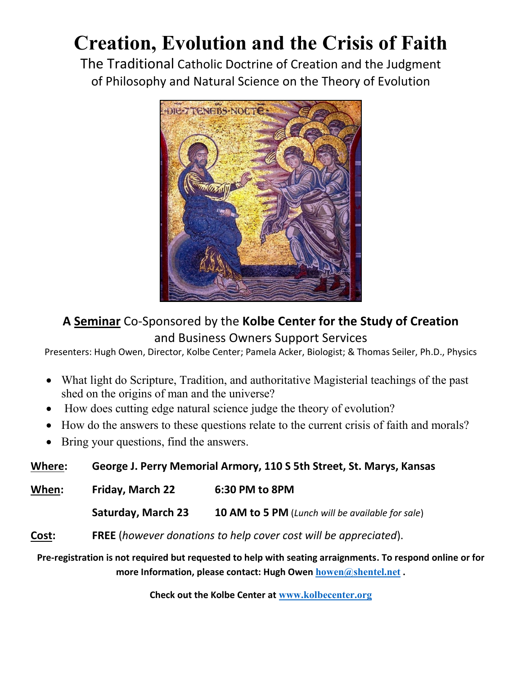# **Creation, Evolution and the Crisis of Faith**

The Traditional Catholic Doctrine of Creation and the Judgment of Philosophy and Natural Science on the Theory of Evolution



# **A Seminar** Co-Sponsored by the **Kolbe Center for the Study of Creation** and Business Owners Support Services

Presenters: Hugh Owen, Director, Kolbe Center; Pamela Acker, Biologist; & Thomas Seiler, Ph.D., Physics

- What light do Scripture, Tradition, and authoritative Magisterial teachings of the past shed on the origins of man and the universe?
- How does cutting edge natural science judge the theory of evolution?
- How do the answers to these questions relate to the current crisis of faith and morals?
- Bring your questions, find the answers.

**Where: George J. Perry Memorial Armory, 110 S 5th Street, St. Marys, Kansas**

**When: Friday, March 22 6:30 PM to 8PM**

**Saturday, March 23 10 AM to 5 PM** (*Lunch will be available for sale*)

**Cost: FREE** (*however donations to help cover cost will be appreciated*).

**Pre-registration is not required but requested to help with seating arraignments. To respond online or for more Information, please contact: Hugh Owen [howen@shentel.net](mailto:howen@shentel.net) .** 

**Check out the Kolbe Center at [www.kolbecenter.org](http://www.kolbecenter.org/)**